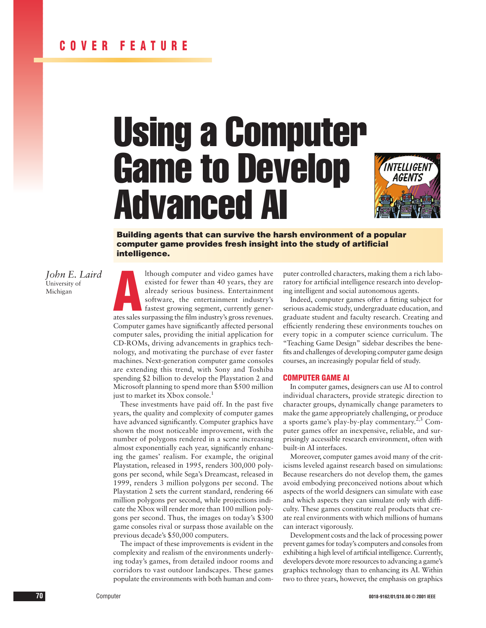# Using a Computer Game to Develop Advanced AI



**Building agents that can survive the harsh environment of a popular computer game provides fresh insight into the study of artificial intelligence.**

*John E. Laird* University of Michigan

**A**<br> **A** existed for fewer than 40 years, they are<br>
already serious business. Entertainment<br>
software, the entertainment industry's<br>
fastest growing segment, currently generates<br>
sales surpassing the film industry's gross lthough computer and video games have existed for fewer than 40 years, they are already serious business. Entertainment software, the entertainment industry's fastest growing segment, currently gener-Computer games have significantly affected personal computer sales, providing the initial application for CD-ROMs, driving advancements in graphics technology, and motivating the purchase of ever faster machines. Next-generation computer game consoles are extending this trend, with Sony and Toshiba spending \$2 billion to develop the Playstation 2 and Microsoft planning to spend more than \$500 million just to market its Xbox console.<sup>1</sup>

These investments have paid off. In the past five years, the quality and complexity of computer games have advanced significantly. Computer graphics have shown the most noticeable improvement, with the number of polygons rendered in a scene increasing almost exponentially each year, significantly enhancing the games' realism. For example, the original Playstation, released in 1995, renders 300,000 polygons per second, while Sega's Dreamcast, released in 1999, renders 3 million polygons per second. The Playstation 2 sets the current standard, rendering 66 million polygons per second, while projections indicate the Xbox will render more than 100 million polygons per second. Thus, the images on today's \$300 game consoles rival or surpass those available on the previous decade's \$50,000 computers.

The impact of these improvements is evident in the complexity and realism of the environments underlying today's games, from detailed indoor rooms and corridors to vast outdoor landscapes. These games populate the environments with both human and computer controlled characters, making them a rich laboratory for artificial intelligence research into developing intelligent and social autonomous agents.

Indeed, computer games offer a fitting subject for serious academic study, undergraduate education, and graduate student and faculty research. Creating and efficiently rendering these environments touches on every topic in a computer science curriculum. The "Teaching Game Design" sidebar describes the benefits and challenges of developing computer game design courses, an increasingly popular field of study.

# **COMPUTER GAME AI**

In computer games, designers can use AI to control individual characters, provide strategic direction to character groups, dynamically change parameters to make the game appropriately challenging, or produce a sports game's play-by-play commentary.<sup>2,3</sup> Computer games offer an inexpensive, reliable, and surprisingly accessible research environment, often with built-in AI interfaces.

Moreover, computer games avoid many of the criticisms leveled against research based on simulations: Because researchers do not develop them, the games avoid embodying preconceived notions about which aspects of the world designers can simulate with ease and which aspects they can simulate only with difficulty. These games constitute real products that create real environments with which millions of humans can interact vigorously.

Development costs and the lack of processing power prevent games for today's computers and consoles from exhibiting a high level of artificial intelligence. Currently, developers devote more resources to advancing a game's graphics technology than to enhancing its AI. Within two to three years, however, the emphasis on graphics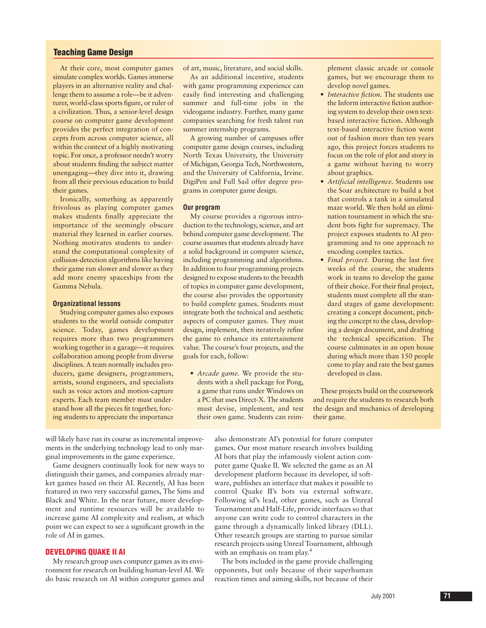# **Teaching Game Design**

At their core, most computer games simulate complex worlds. Games immerse players in an alternative reality and challenge them to assume a role—be it adventurer, world-class sports figure, or ruler of a civilization. Thus, a senior-level design course on computer game development provides the perfect integration of concepts from across computer science, all within the context of a highly motivating topic. For once, a professor needn't worry about students finding the subject matter unengaging—they dive into it, drawing from all their previous education to build their games.

Ironically, something as apparently frivolous as playing computer games makes students finally appreciate the importance of the seemingly obscure material they learned in earlier courses. Nothing motivates students to understand the computational complexity of collision-detection algorithms like having their game run slower and slower as they add more enemy spaceships from the Gamma Nebula.

## **Organizational lessons**

Studying computer games also exposes students to the world outside computer science. Today, games development requires more than two programmers working together in a garage—it requires collaboration among people from diverse disciplines. A team normally includes producers, game designers, programmers, artists, sound engineers, and specialists such as voice actors and motion-capture experts. Each team member must understand how all the pieces fit together, forcing students to appreciate the importance

of art, music, literature, and social skills.

As an additional incentive, students with game programming experience can easily find interesting and challenging summer and full-time jobs in the videogame industry. Further, many game companies searching for fresh talent run summer internship programs.

A growing number of campuses offer computer game design courses, including North Texas University, the University of Michigan, Georgia Tech, Northwestern, and the University of California, Irvine. DigiPen and Full Sail offer degree programs in computer game design.

## **Our program**

My course provides a rigorous introduction to the technology, science, and art behind computer game development. The course assumes that students already have a solid background in computer science, including programming and algorithms. In addition to four programming projects designed to expose students to the breadth of topics in computer game development, the course also provides the opportunity to build complete games. Students must integrate both the technical and aesthetic aspects of computer games. They must design, implement, then iteratively refine the game to enhance its entertainment value. The course's four projects, and the goals for each, follow:

• *Arcade game.* We provide the students with a shell package for Pong, a game that runs under Windows on a PC that uses Direct-X. The students must devise, implement, and test their own game. Students can reimplement classic arcade or console games, but we encourage them to develop novel games.

- *Interactive fiction.* The students use the Inform interactive fiction authoring system to develop their own textbased interactive fiction. Although text-based interactive fiction went out of fashion more than ten years ago, this project forces students to focus on the role of plot and story in a game without having to worry about graphics.
- *Artificial intelligence.* Students use the Soar architecture to build a bot that controls a tank in a simulated maze world. We then hold an elimination tournament in which the student bots fight for supremacy. The project exposes students to AI programming and to one approach to encoding complex tactics.
- *Final project.* During the last five weeks of the course, the students work in teams to develop the game of their choice. For their final project, students must complete all the standard stages of game development: creating a concept document, pitching the concept to the class, developing a design document, and drafting the technical specification. The course culminates in an open house during which more than 150 people come to play and rate the best games developed in class.

These projects build on the coursework and require the students to research both the design and mechanics of developing their game.

will likely have run its course as incremental improvements in the underlying technology lead to only marginal improvements in the game experience.

Game designers continually look for new ways to distinguish their games, and companies already market games based on their AI. Recently, AI has been featured in two very successful games, The Sims and Black and White. In the near future, more development and runtime resources will be available to increase game AI complexity and realism, at which point we can expect to see a significant growth in the role of AI in games.

## **DEVELOPING QUAKE II AI**

My research group uses computer games as its environment for research on building human-level AI. We do basic research on AI within computer games and

also demonstrate AI's potential for future computer games. Our most mature research involves building AI bots that play the infamously violent action computer game Quake II*.* We selected the game as an AI development platform because its developer, id software, publishes an interface that makes it possible to control Quake II's bots via external software. Following id's lead, other games, such as Unreal Tournament and Half-Life, provide interfaces so that anyone can write code to control characters in the game through a dynamically linked library (DLL). Other research groups are starting to pursue similar research projects using Unreal Tournament, although with an emphasis on team play.<sup>4</sup>

The bots included in the game provide challenging opponents, but only because of their superhuman reaction times and aiming skills, not because of their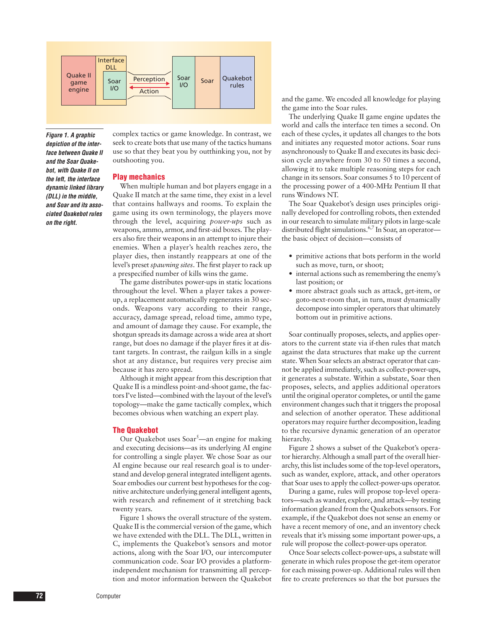

*Figure 1. A graphic depiction of the interface between Quake II and the Soar Quakebot, with Quake II on the left, the interface dynamic linked library (DLL) in the middle, and Soar and its associated Quakebot rules on the right.* 

complex tactics or game knowledge. In contrast, we seek to create bots that use many of the tactics humans use so that they beat you by outthinking you, not by outshooting you.

#### **Play mechanics**

When multiple human and bot players engage in a Quake II match at the same time, they exist in a level that contains hallways and rooms. To explain the game using its own terminology, the players move through the level, acquiring *power-ups* such as weapons, ammo, armor, and first-aid boxes. The players also fire their weapons in an attempt to injure their enemies. When a player's health reaches zero, the player dies, then instantly reappears at one of the level's preset *spawning sites*. The first player to rack up a prespecified number of kills wins the game.

The game distributes power-ups in static locations throughout the level. When a player takes a powerup, a replacement automatically regenerates in 30 seconds. Weapons vary according to their range, accuracy, damage spread, reload time, ammo type, and amount of damage they cause. For example, the shotgun spreads its damage across a wide area at short range, but does no damage if the player fires it at distant targets. In contrast, the railgun kills in a single shot at any distance, but requires very precise aim because it has zero spread.

Although it might appear from this description that Quake II is a mindless point-and-shoot game, the factors I've listed—combined with the layout of the level's topology—make the game tactically complex, which becomes obvious when watching an expert play.

#### **The Quakebot**

Our Quakebot uses Soar<sup>5</sup>—an engine for making and executing decisions—as its underlying AI engine for controlling a single player. We chose Soar as our AI engine because our real research goal is to understand and develop general integrated intelligent agents. Soar embodies our current best hypotheses for the cognitive architecture underlying general intelligent agents, with research and refinement of it stretching back twenty years.

Figure 1 shows the overall structure of the system. Quake II is the commercial version of the game, which we have extended with the DLL. The DLL, written in C, implements the Quakebot's sensors and motor actions, along with the Soar I/O, our intercomputer communication code. Soar I/O provides a platformindependent mechanism for transmitting all perception and motor information between the Quakebot and the game. We encoded all knowledge for playing the game into the Soar rules.

The underlying Quake II game engine updates the world and calls the interface ten times a second. On each of these cycles, it updates all changes to the bots and initiates any requested motor actions. Soar runs asynchronously to Quake II and executes its basic decision cycle anywhere from 30 to 50 times a second, allowing it to take multiple reasoning steps for each change in its sensors. Soar consumes 5 to 10 percent of the processing power of a 400-MHz Pentium II that runs Windows NT.

The Soar Quakebot's design uses principles originally developed for controlling robots, then extended in our research to simulate military pilots in large-scale distributed flight simulations.<sup>6,7</sup> In Soar, an operatorthe basic object of decision—consists of

- primitive actions that bots perform in the world such as move, turn, or shoot;
- internal actions such as remembering the enemy's last position; or
- more abstract goals such as attack, get-item, or goto-next-room that, in turn, must dynamically decompose into simpler operators that ultimately bottom out in primitive actions.

Soar continually proposes, selects, and applies operators to the current state via if-then rules that match against the data structures that make up the current state. When Soar selects an abstract operator that cannot be applied immediately, such as collect-power-ups, it generates a substate. Within a substate, Soar then proposes, selects, and applies additional operators until the original operator completes, or until the game environment changes such that it triggers the proposal and selection of another operator. These additional operators may require further decomposition, leading to the recursive dynamic generation of an operator hierarchy.

Figure 2 shows a subset of the Quakebot's operator hierarchy. Although a small part of the overall hierarchy, this list includes some of the top-level operators, such as wander, explore, attack, and other operators that Soar uses to apply the collect-power-ups operator.

During a game, rules will propose top-level operators—such as wander, explore, and attack—by testing information gleaned from the Quakebots sensors. For example, if the Quakebot does not sense an enemy or have a recent memory of one, and an inventory check reveals that it's missing some important power-ups, a rule will propose the collect-power-ups operator.

Once Soar selects collect-power-ups, a substate will generate in which rules propose the get-item operator for each missing power-up. Additional rules will then fire to create preferences so that the bot pursues the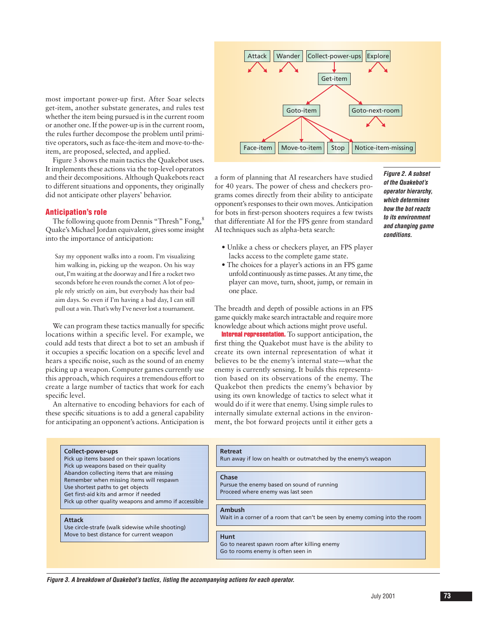most important power-up first. After Soar selects get-item, another substate generates, and rules test whether the item being pursued is in the current room or another one. If the power-up is in the current room, the rules further decompose the problem until primitive operators, such as face-the-item and move-to-theitem, are proposed, selected, and applied.

Figure 3 shows the main tactics the Quakebot uses. It implements these actions via the top-level operators and their decompositions. Although Quakebots react to different situations and opponents, they originally did not anticipate other players' behavior.

# **Anticipation's role**

The following quote from Dennis "Thresh" Fong,<sup>8</sup> Quake's Michael Jordan equivalent, gives some insight into the importance of anticipation:

Say my opponent walks into a room. I'm visualizing him walking in, picking up the weapon. On his way out, I'm waiting at the doorway and I fire a rocket two seconds before he even rounds the corner. A lot of people rely strictly on aim, but everybody has their bad aim days. So even if I'm having a bad day, I can still pull out a win. That's why I've never lost a tournament.

We can program these tactics manually for specific locations within a specific level. For example, we could add tests that direct a bot to set an ambush if it occupies a specific location on a specific level and hears a specific noise, such as the sound of an enemy picking up a weapon. Computer games currently use this approach, which requires a tremendous effort to create a large number of tactics that work for each specific level.

An alternative to encoding behaviors for each of these specific situations is to add a general capability for anticipating an opponent's actions. Anticipation is



a form of planning that AI researchers have studied for 40 years. The power of chess and checkers programs comes directly from their ability to anticipate opponent's responses to their own moves. Anticipation for bots in first-person shooters requires a few twists that differentiate AI for the FPS genre from standard AI techniques such as alpha-beta search:

- Unlike a chess or checkers player, an FPS player lacks access to the complete game state.
- The choices for a player's actions in an FPS game unfold continuously as time passes. At any time, the player can move, turn, shoot, jump, or remain in one place.

The breadth and depth of possible actions in an FPS game quickly make search intractable and require more knowledge about which actions might prove useful.

Internal representation. To support anticipation, the first thing the Quakebot must have is the ability to create its own internal representation of what it believes to be the enemy's internal state—what the enemy is currently sensing. It builds this representation based on its observations of the enemy. The Quakebot then predicts the enemy's behavior by using its own knowledge of tactics to select what it would do if it were that enemy. Using simple rules to internally simulate external actions in the environment, the bot forward projects until it either gets a *Figure 2. A subset of the Quakebot's operator hierarchy, which determines how the bot reacts to its environment and changing game conditions.* 

#### **Collect-power-ups**

Pick up items based on their spawn locations Pick up weapons based on their quality Abandon collecting items that are missing Remember when missing items will respawn Use shortest paths to get objects Get first-aid kits and armor if needed Pick up other quality weapons and ammo if accessible

#### **Attack**

Use circle-strafe (walk sidewise while shooting) Move to best distance for current weapon

## **Retreat**

Run away if low on health or outmatched by the enemy's weapon

#### **Chase**

Pursue the enemy based on sound of running Proceed where enemy was last seen

#### **Ambush**

Wait in a corner of a room that can't be seen by enemy coming into the room

#### **Hunt**

Go to nearest spawn room after killing enemy Go to rooms enemy is often seen in

*Figure 3. A breakdown of Quakebot's tactics, listing the accompanying actions for each operator.*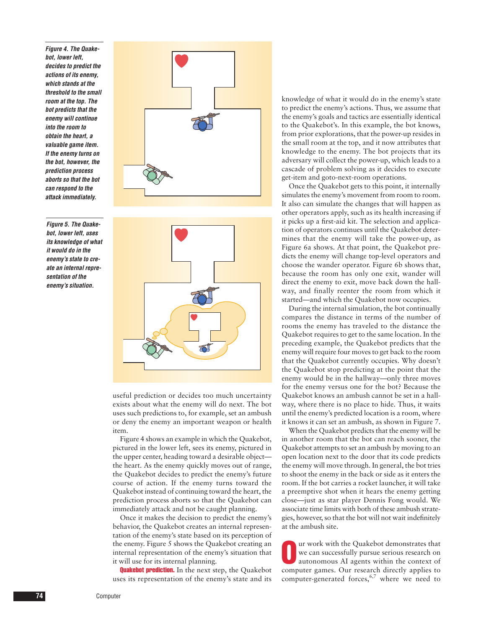*Figure 4. The Quakebot, lower left, decides to predict the actions of its enemy, which stands at the threshold to the small room at the top. The bot predicts that the enemy will continue into the room to obtain the heart, a valuable game item. If the enemy turns on the bot, however, the prediction process aborts so that the bot can respond to the attack immediately.*

*Figure 5. The Quakebot, lower left, uses its knowledge of what it would do in the enemy's state to create an internal representation of the enemy's situation.*





useful prediction or decides too much uncertainty exists about what the enemy will do next. The bot uses such predictions to, for example, set an ambush or deny the enemy an important weapon or health item.

Figure 4 shows an example in which the Quakebot, pictured in the lower left, sees its enemy, pictured in the upper center, heading toward a desirable object the heart. As the enemy quickly moves out of range, the Quakebot decides to predict the enemy's future course of action. If the enemy turns toward the Quakebot instead of continuing toward the heart, the prediction process aborts so that the Quakebot can immediately attack and not be caught planning.

Once it makes the decision to predict the enemy's behavior, the Quakebot creates an internal representation of the enemy's state based on its perception of the enemy. Figure 5 shows the Quakebot creating an internal representation of the enemy's situation that it will use for its internal planning.

**Quakebot prediction.** In the next step, the Quakebot uses its representation of the enemy's state and its knowledge of what it would do in the enemy's state to predict the enemy's actions. Thus, we assume that the enemy's goals and tactics are essentially identical to the Quakebot's. In this example, the bot knows, from prior explorations, that the power-up resides in the small room at the top, and it now attributes that knowledge to the enemy. The bot projects that its adversary will collect the power-up, which leads to a cascade of problem solving as it decides to execute get-item and goto-next-room operations.

Once the Quakebot gets to this point, it internally simulates the enemy's movement from room to room. It also can simulate the changes that will happen as other operators apply, such as its health increasing if it picks up a first-aid kit. The selection and application of operators continues until the Quakebot determines that the enemy will take the power-up, as Figure 6a shows. At that point, the Quakebot predicts the enemy will change top-level operators and choose the wander operator. Figure 6b shows that, because the room has only one exit, wander will direct the enemy to exit, move back down the hallway, and finally reenter the room from which it started—and which the Quakebot now occupies.

During the internal simulation, the bot continually compares the distance in terms of the number of rooms the enemy has traveled to the distance the Quakebot requires to get to the same location. In the preceding example, the Quakebot predicts that the enemy will require four moves to get back to the room that the Quakebot currently occupies. Why doesn't the Quakebot stop predicting at the point that the enemy would be in the hallway—only three moves for the enemy versus one for the bot? Because the Quakebot knows an ambush cannot be set in a hallway, where there is no place to hide. Thus, it waits until the enemy's predicted location is a room, where it knows it can set an ambush, as shown in Figure 7.

When the Quakebot predicts that the enemy will be in another room that the bot can reach sooner, the Quakebot attempts to set an ambush by moving to an open location next to the door that its code predicts the enemy will move through. In general, the bot tries to shoot the enemy in the back or side as it enters the room. If the bot carries a rocket launcher, it will take a preemptive shot when it hears the enemy getting close—just as star player Dennis Fong would. We associate time limits with both of these ambush strategies, however, so that the bot will not wait indefinitely at the ambush site.

**OUR WE WANTED THE CONSTRUCTER CONSTRUCTER CONSTRUCTER CONSTRUCTER CONSTRUCTER CONSTRUCTER CONSTRUCTER CONSTRUCTER CONSTRUCTER CONSTRUCTER CONSTRUCTER CONSTRUCTER CONSTRUCTER CONSTRUCTER CONSTRUCTER CONSTRUCTER CONSTRUCTER** we can successfully pursue serious research on computer games. Our research directly applies to computer-generated forces, $6,7$  where we need to